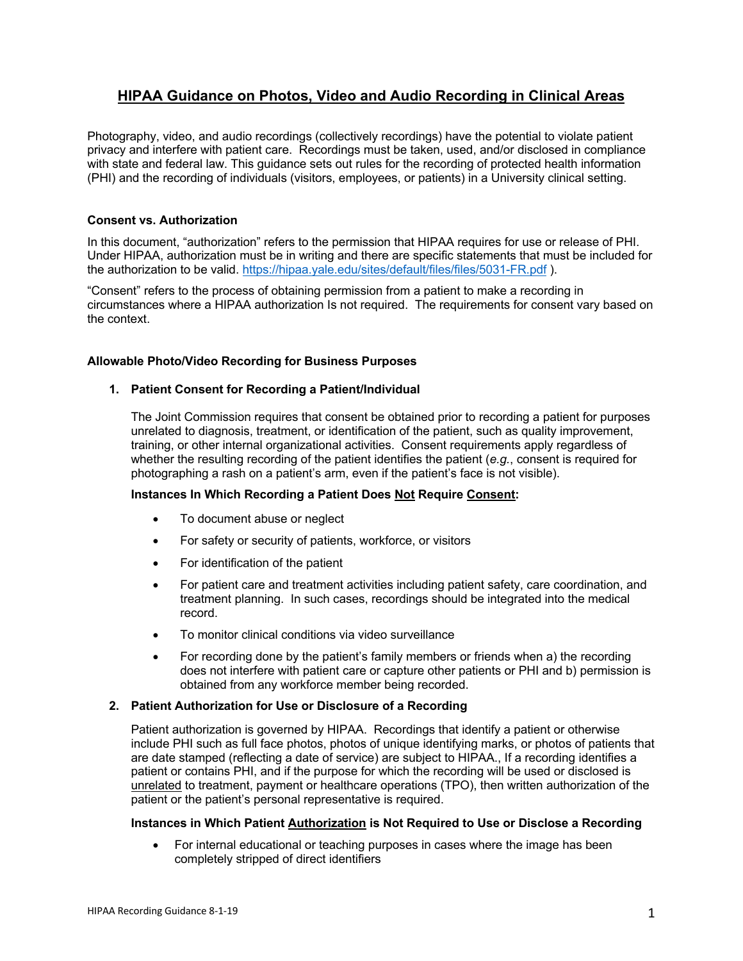# **HIPAA Guidance on Photos, Video and Audio Recording in Clinical Areas**

Photography, video, and audio recordings (collectively recordings) have the potential to violate patient privacy and interfere with patient care. Recordings must be taken, used, and/or disclosed in compliance with state and federal law. This guidance sets out rules for the recording of protected health information (PHI) and the recording of individuals (visitors, employees, or patients) in a University clinical setting.

# **Consent vs. Authorization**

In this document, "authorization" refers to the permission that HIPAA requires for use or release of PHI. Under HIPAA, authorization must be in writing and there are specific statements that must be included for the authorization to be valid. https://hipaa.yale.edu/sites/default/files/files/5031-FR.pdf ).

"Consent" refers to the process of obtaining permission from a patient to make a recording in circumstances where a HIPAA authorization Is not required. The requirements for consent vary based on the context.

## **Allowable Photo/Video Recording for Business Purposes**

## **1. Patient Consent for Recording a Patient/Individual**

The Joint Commission requires that consent be obtained prior to recording a patient for purposes unrelated to diagnosis, treatment, or identification of the patient, such as quality improvement, training, or other internal organizational activities. Consent requirements apply regardless of whether the resulting recording of the patient identifies the patient (*e.g.*, consent is required for photographing a rash on a patient's arm, even if the patient's face is not visible).

# **Instances In Which Recording a Patient Does Not Require Consent:**

- To document abuse or neglect
- For safety or security of patients, workforce, or visitors
- For identification of the patient
- For patient care and treatment activities including patient safety, care coordination, and treatment planning. In such cases, recordings should be integrated into the medical record.
- To monitor clinical conditions via video surveillance
- For recording done by the patient's family members or friends when a) the recording does not interfere with patient care or capture other patients or PHI and b) permission is obtained from any workforce member being recorded.

#### **2. Patient Authorization for Use or Disclosure of a Recording**

Patient authorization is governed by HIPAA. Recordings that identify a patient or otherwise include PHI such as full face photos, photos of unique identifying marks, or photos of patients that are date stamped (reflecting a date of service) are subject to HIPAA., If a recording identifies a patient or contains PHI, and if the purpose for which the recording will be used or disclosed is unrelated to treatment, payment or healthcare operations (TPO), then written authorization of the patient or the patient's personal representative is required.

#### **Instances in Which Patient Authorization is Not Required to Use or Disclose a Recording**

• For internal educational or teaching purposes in cases where the image has been completely stripped of direct identifiers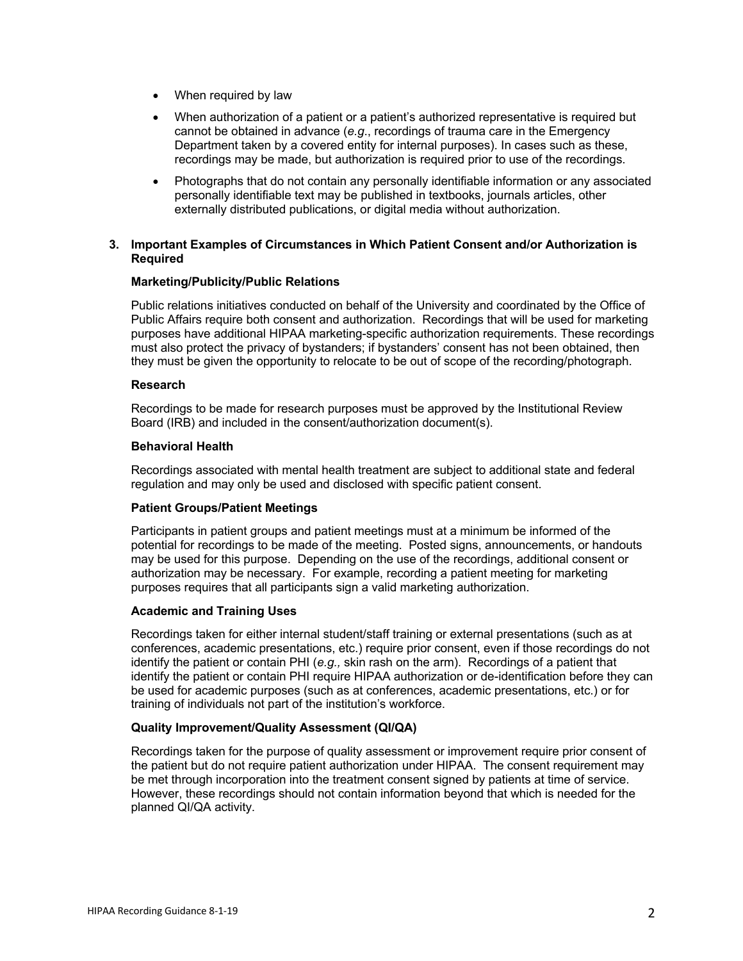- When required by law
- When authorization of a patient or a patient's authorized representative is required but cannot be obtained in advance (*e.g*., recordings of trauma care in the Emergency Department taken by a covered entity for internal purposes). In cases such as these, recordings may be made, but authorization is required prior to use of the recordings.
- Photographs that do not contain any personally identifiable information or any associated personally identifiable text may be published in textbooks, journals articles, other externally distributed publications, or digital media without authorization.

## **3. Important Examples of Circumstances in Which Patient Consent and/or Authorization is Required**

#### **Marketing/Publicity/Public Relations**

Public relations initiatives conducted on behalf of the University and coordinated by the Office of Public Affairs require both consent and authorization. Recordings that will be used for marketing purposes have additional HIPAA marketing-specific authorization requirements. These recordings must also protect the privacy of bystanders; if bystanders' consent has not been obtained, then they must be given the opportunity to relocate to be out of scope of the recording/photograph.

#### **Research**

Recordings to be made for research purposes must be approved by the Institutional Review Board (IRB) and included in the consent/authorization document(s).

## **Behavioral Health**

Recordings associated with mental health treatment are subject to additional state and federal regulation and may only be used and disclosed with specific patient consent.

#### **Patient Groups/Patient Meetings**

Participants in patient groups and patient meetings must at a minimum be informed of the potential for recordings to be made of the meeting. Posted signs, announcements, or handouts may be used for this purpose. Depending on the use of the recordings, additional consent or authorization may be necessary. For example, recording a patient meeting for marketing purposes requires that all participants sign a valid marketing authorization.

#### **Academic and Training Uses**

Recordings taken for either internal student/staff training or external presentations (such as at conferences, academic presentations, etc.) require prior consent, even if those recordings do not identify the patient or contain PHI (*e.g.,* skin rash on the arm). Recordings of a patient that identify the patient or contain PHI require HIPAA authorization or de-identification before they can be used for academic purposes (such as at conferences, academic presentations, etc.) or for training of individuals not part of the institution's workforce.

#### **Quality Improvement/Quality Assessment (QI/QA)**

Recordings taken for the purpose of quality assessment or improvement require prior consent of the patient but do not require patient authorization under HIPAA. The consent requirement may be met through incorporation into the treatment consent signed by patients at time of service. However, these recordings should not contain information beyond that which is needed for the planned QI/QA activity.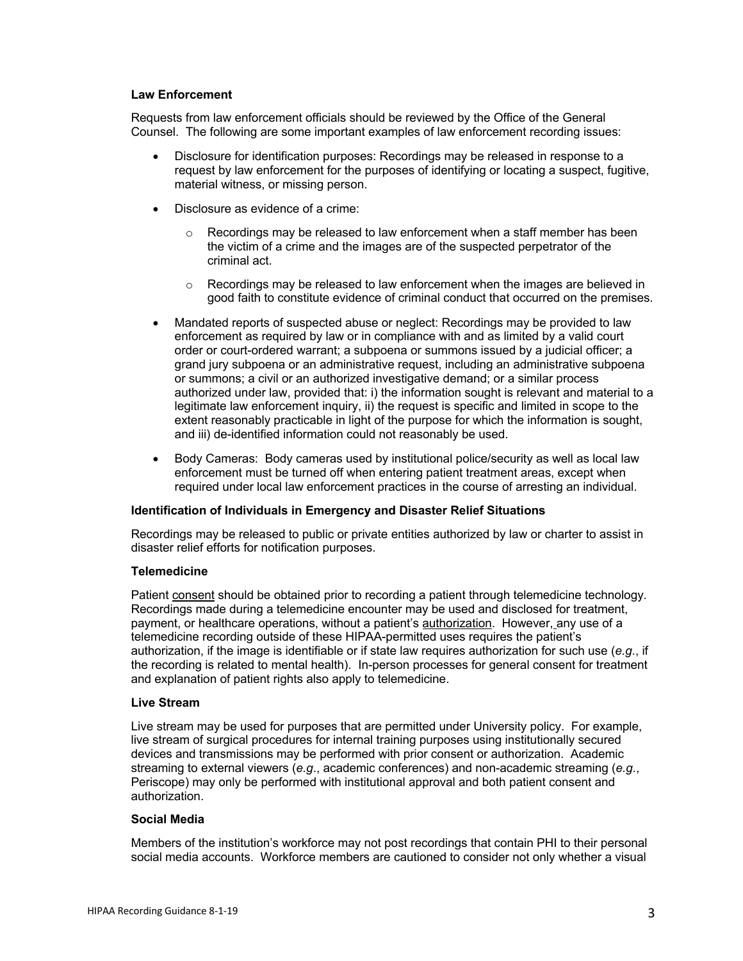#### **Law Enforcement**

Requests from law enforcement officials should be reviewed by the Office of the General Counsel. The following are some important examples of law enforcement recording issues:

- Disclosure for identification purposes: Recordings may be released in response to a request by law enforcement for the purposes of identifying or locating a suspect, fugitive, material witness, or missing person.
- Disclosure as evidence of a crime:
	- $\circ$  Recordings may be released to law enforcement when a staff member has been the victim of a crime and the images are of the suspected perpetrator of the criminal act.
	- $\circ$  Recordings may be released to law enforcement when the images are believed in good faith to constitute evidence of criminal conduct that occurred on the premises.
- Mandated reports of suspected abuse or neglect: Recordings may be provided to law enforcement as required by law or in compliance with and as limited by a valid court order or court-ordered warrant; a subpoena or summons issued by a judicial officer; a grand jury subpoena or an administrative request, including an administrative subpoena or summons; a civil or an authorized investigative demand; or a similar process authorized under law, provided that: i) the information sought is relevant and material to a legitimate law enforcement inquiry, ii) the request is specific and limited in scope to the extent reasonably practicable in light of the purpose for which the information is sought, and iii) de-identified information could not reasonably be used.
- Body Cameras: Body cameras used by institutional police/security as well as local law enforcement must be turned off when entering patient treatment areas, except when required under local law enforcement practices in the course of arresting an individual.

#### **Identification of Individuals in Emergency and Disaster Relief Situations**

Recordings may be released to public or private entities authorized by law or charter to assist in disaster relief efforts for notification purposes.

# **Telemedicine**

Patient consent should be obtained prior to recording a patient through telemedicine technology. Recordings made during a telemedicine encounter may be used and disclosed for treatment, payment, or healthcare operations, without a patient's authorization. However, any use of a telemedicine recording outside of these HIPAA-permitted uses requires the patient's authorization, if the image is identifiable or if state law requires authorization for such use (*e.g*., if the recording is related to mental health). In-person processes for general consent for treatment and explanation of patient rights also apply to telemedicine.

#### **Live Stream**

Live stream may be used for purposes that are permitted under University policy. For example, live stream of surgical procedures for internal training purposes using institutionally secured devices and transmissions may be performed with prior consent or authorization. Academic streaming to external viewers (*e.g*., academic conferences) and non-academic streaming (*e.g*., Periscope) may only be performed with institutional approval and both patient consent and authorization.

#### **Social Media**

Members of the institution's workforce may not post recordings that contain PHI to their personal social media accounts. Workforce members are cautioned to consider not only whether a visual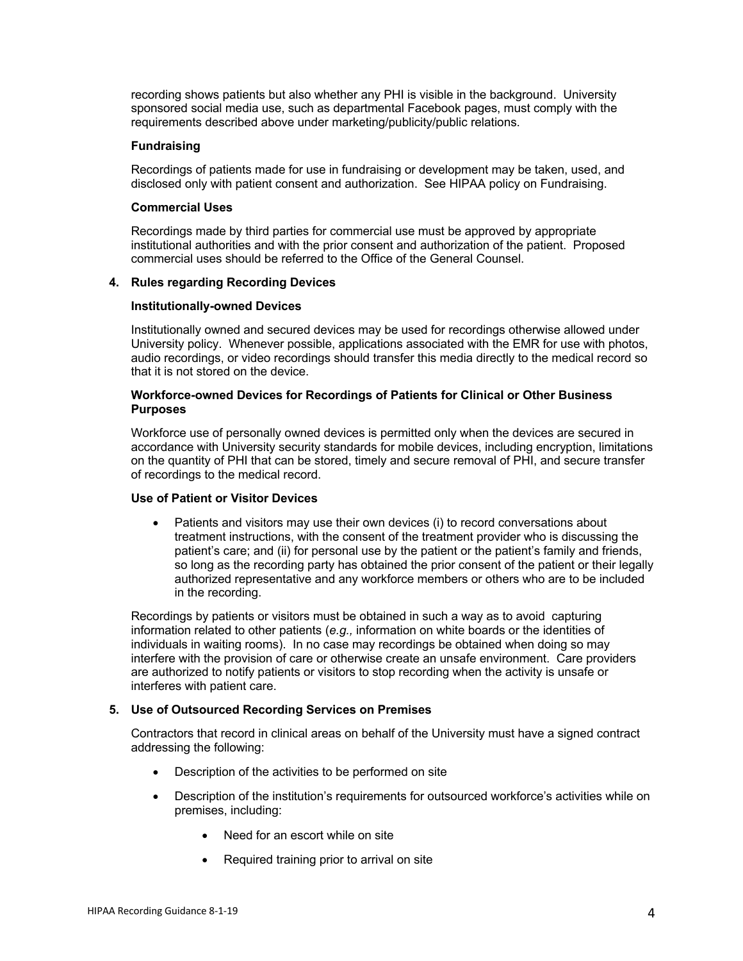recording shows patients but also whether any PHI is visible in the background. University sponsored social media use, such as departmental Facebook pages, must comply with the requirements described above under marketing/publicity/public relations.

#### **Fundraising**

Recordings of patients made for use in fundraising or development may be taken, used, and disclosed only with patient consent and authorization. See HIPAA policy on Fundraising.

#### **Commercial Uses**

Recordings made by third parties for commercial use must be approved by appropriate institutional authorities and with the prior consent and authorization of the patient. Proposed commercial uses should be referred to the Office of the General Counsel.

## **4. Rules regarding Recording Devices**

#### **Institutionally-owned Devices**

Institutionally owned and secured devices may be used for recordings otherwise allowed under University policy. Whenever possible, applications associated with the EMR for use with photos, audio recordings, or video recordings should transfer this media directly to the medical record so that it is not stored on the device.

## **Workforce-owned Devices for Recordings of Patients for Clinical or Other Business Purposes**

Workforce use of personally owned devices is permitted only when the devices are secured in accordance with University security standards for mobile devices, including encryption, limitations on the quantity of PHI that can be stored, timely and secure removal of PHI, and secure transfer of recordings to the medical record.

# **Use of Patient or Visitor Devices**

• Patients and visitors may use their own devices (i) to record conversations about treatment instructions, with the consent of the treatment provider who is discussing the patient's care; and (ii) for personal use by the patient or the patient's family and friends, so long as the recording party has obtained the prior consent of the patient or their legally authorized representative and any workforce members or others who are to be included in the recording.

Recordings by patients or visitors must be obtained in such a way as to avoid capturing information related to other patients (*e.g.,* information on white boards or the identities of individuals in waiting rooms). In no case may recordings be obtained when doing so may interfere with the provision of care or otherwise create an unsafe environment. Care providers are authorized to notify patients or visitors to stop recording when the activity is unsafe or interferes with patient care.

# **5. Use of Outsourced Recording Services on Premises**

Contractors that record in clinical areas on behalf of the University must have a signed contract addressing the following:

- Description of the activities to be performed on site
- Description of the institution's requirements for outsourced workforce's activities while on premises, including:
	- Need for an escort while on site
	- Required training prior to arrival on site